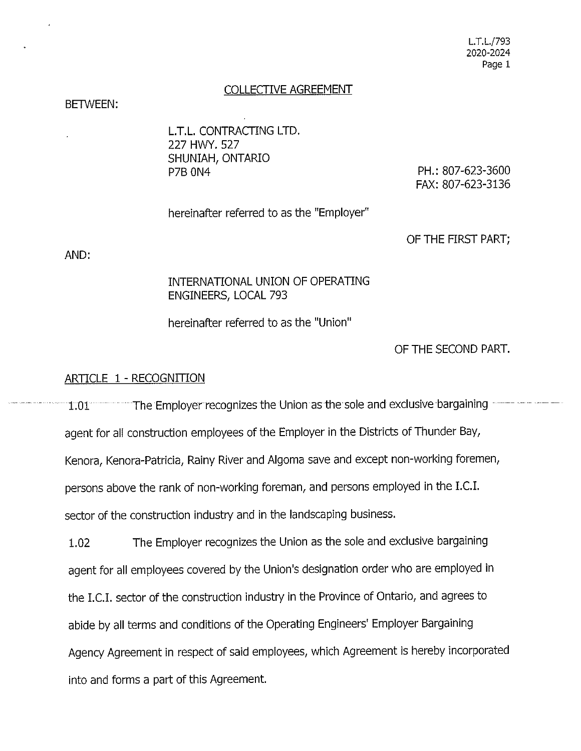#### COLLECTIVE AGREEMENT

#### BETWEEN:

**L.T.L.** CONTRACTING LTD. 227 HWY. 527 SHUNIAH, ONTARIO P7B ON4

PH.: 807-623-3600 FAX: 807-623-3136

hereinafter referred to as the "Employer"

OF THE FIRST PART;

AND:

### INTERNATIONAL UNION OF OPERATING ENGINEERS, LOCAL 793

hereinafter referred to as the "Union"

OF THE SECOND PART.

#### ARTICLE 1 - RECOGNITION

1.01 The Employer recognizes the Union as the sole and exclusive bargaining agent for all construction employees of the Employer in the Districts of Thunder Bay, Kenora, Kenora-Patricia, Rainy River and Algoma save and except non-working foremen, persons above the rank of non-working foreman, and persons employed in the LC.I. sector of the construction industry and in the landscaping business.

1.02 The Employer recognizes the Union as the sole and exclusive bargaining agent for all employees covered by the Union's designation order who are employed in the LC.I. sector of the construction industry in the Province of Ontario, and agrees to abide by all terms and conditions of the Operating Engineers' Employer Bargaining Agency Agreement in respect of said employees, which Agreement is hereby incorporated into and forms a part of this Agreement.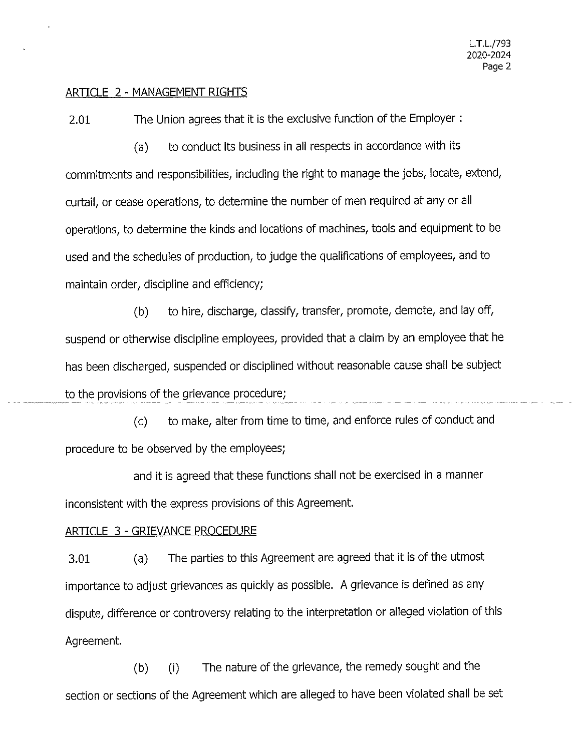#### ARTICLE 2 - MANAGEMENT RIGHTS

2.01 The Union agrees that it is the exclusive function of the Employer :

(a) to conduct its business in all respects in accordance with its commitments and responsibilities, including the right to manage the jobs, locate, extend, curtail, or cease operations, to determine the number of men required at any or all operations, to determine the kinds and locations of machines, tools and equipment to be used and the schedules of production, to judge the qualifications of employees, and to maintain order, discipline and efficiency;

(b) to hire, discharge, classify, transfer, promote, demote, and lay off, suspend or otherwise discipline employees, provided that a claim by an employee that he has been discharged, suspended or disciplined without reasonable cause shall be subject to the provisions of the grievance procedure;

(c) to make, alter from time to time, and enforce rules of conduct and procedure to be observed by the employees;

and it is agreed that these functions shall not be exercised in a manner inconsistent with the express provisions of this Agreement.

#### ARTICLE 3 - GRIEVANCE PROCEDURE

3.01 (a) The parties to this Agreement are agreed that it is of the utmost importance to adjust grievances as quickly as possible. A grievance is defined as any dispute, difference or controversy relating to the interpretation or alleged violation of this Agreement.

(b) (i) The nature of the grievance, the remedy sought and the section or sections of the Agreement which are alleged to have been violated shall be set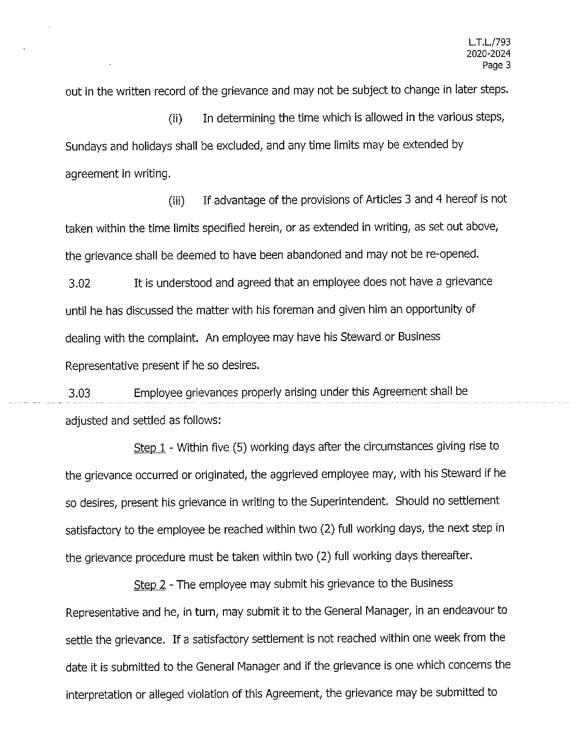out in the written record of the grievance and may not be subject to change in later steps.

(ii) In determining the time which is allowed in the various steps, Sundays and holidays shall be excluded, and any time limits may be extended by agreement in writing.

(iii) If advantage of the provisions of Articles 3 and 4 hereof is not taken within the time limits specified herein, or as extended in writing, as set out above, the grievance shall be deemed to have been abandoned and may not be re-opened.

3.02 It is understood and agreed that an employee does not have a grievance until he has discussed the matter with his foreman and given him an opportunity of dealing with the complaint. An employee may have his Steward or Business Representative present if he so desires.

3.03 Employee grievances properly arising under this Agreement shall be adjusted and settled as follows:

Step 1 - Within five (5) working days after the circumstances giving rise to the grievance occurred or originated, the aggrieved employee may, with his Steward if he so desires, present his grievance in writing to the Superintendent. Should no settlement satisfactory to the employee be reached within two (2) full working days, the next step in the grievance procedure must be taken within two (2) full working days thereafter.

Step 2 - The employee may submit his grievance to the Business Representative and he, in turn, may submit it to the General Manager, in an endeavour to settle the grievance. If a satisfactory settlement is not reached within one week from the date it is submitted to the General Manager and if the grievance is one which concerns the interpretation or alleged violation of this Agreement, the grievance may be submitted to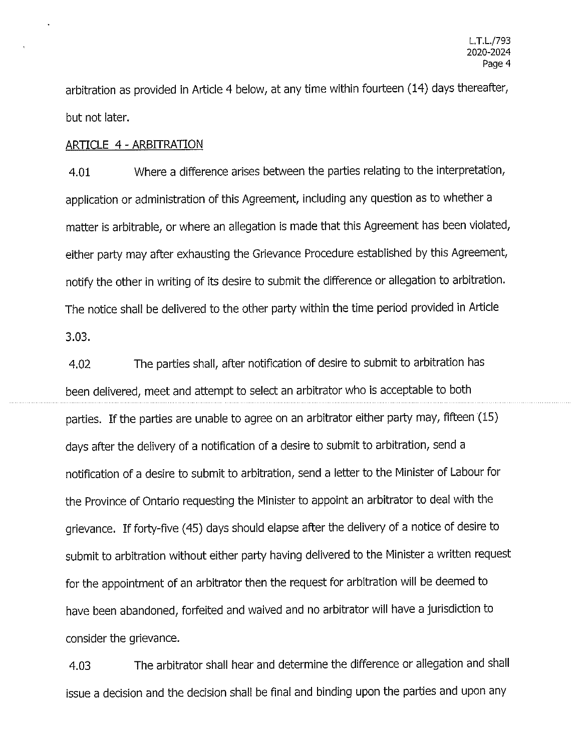arbitration as provided in Article 4 below, at any time within fourteen (14) days thereafter, but not later.

#### ARTICLE 4 - ARBITRATION

4.01 Where a difference arises between the parties relating to the interpretation, application or administration of this Agreement, including any question as to whether a matter is arbitrable, or where an allegation is made that this Agreement has been violated, either party may after exhausting the Grievance Procedure established by this Agreement, notify the other in writing of its desire to submit the difference or allegation to arbitration. The notice shall be delivered to the other party within the time period provided in Article 3.03.

4.02 The parties shall, after notification of desire to submit to arbitration has been delivered, meet and attempt to select an arbitrator who is acceptable to both parties. If the parties are unable to agree on an arbitrator either party may, fifteen (15) days after the delivery of a notification of a desire to submit to arbitration, send a notification of a desire to submit to arbitration, send a letter to the Minister of Labour for the Province of Ontario requesting the Minister to appoint an arbitrator to deal with the grievance. If forty-five ( 45) days should elapse after the delivery of a notice of desire to submit to arbitration without either party having delivered to the Minister a written request for the appointment of an arbitrator then the request for arbitration will be deemed to have been abandoned, forfeited and waived and no arbitrator will have a jurisdiction to consider the grievance.

4.03 The arbitrator shall hear and determine the difference or allegation and shall issue a decision and the decision shall be final and binding upon the parties and upon any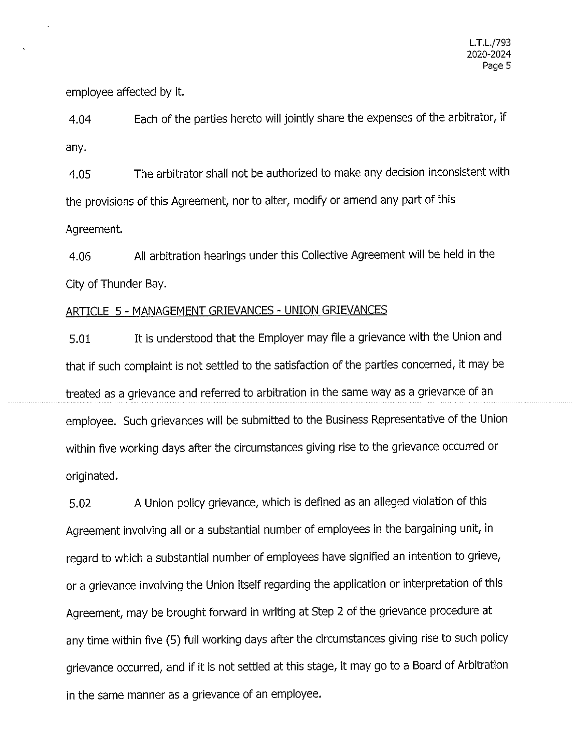employee affected by it.

4.04 Each of the parties hereto will jointly share the expenses of the arbitrator, if any.

4.05 The arbitrator shall not be authorized to make any decision inconsistent with the provisions of this Agreement, nor to alter, modify or amend any part of this Agreement.

4.06 All arbitration hearings under this Collective Agreement will be held in the City of Thunder Bay.

## ARTICLE 5 - MANAGEMENT GRIEVANCES - UNION GRIEVANCES

5.01 It is understood that the Employer may file a grievance with the Union and that if such complaint is not settled to the satisfaction of the parties concerned, it may be treated as a grievance and referred to arbitration in the same way as a grievance of an employee. Such grievances will be submitted to the Business Representative of the Union within five working days after the circumstances giving rise to the grievance occurred or originated.

5.02 A Union policy grievance, which is defined as an alleged violation of this Agreement involving all or a substantial number of employees in the bargaining unit, in regard to which a substantial number of employees have signified an intention to grieve, or a grievance involving the Union itself regarding the application or interpretation of this Agreement, may be brought forward in writing at Step 2 of the grievance procedure at any time within five (5) full working days after the circumstances giving rise to such policy grievance occurred, and if it is not settled at this stage, it may go to a Board of Arbitration in the same manner as a grievance of an employee.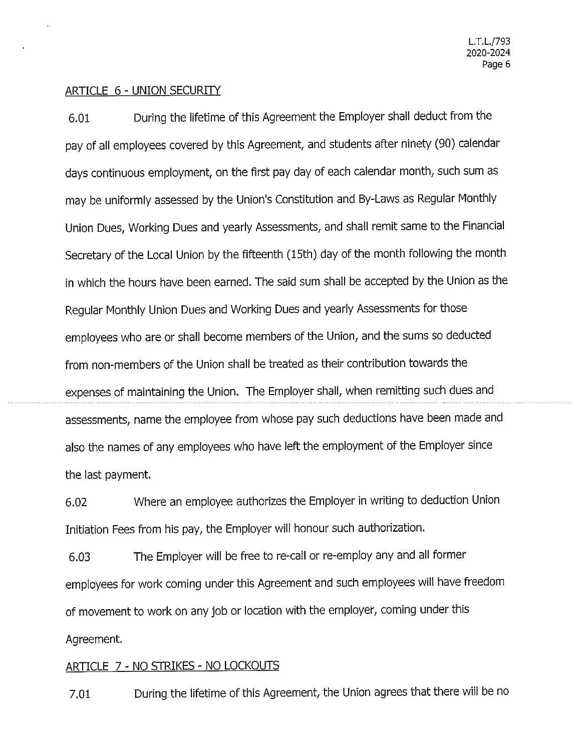### ARTICLE 6 - UNION SECURITY

6.01 During the lifetime of this Agreement the Employer shall deduct from the pay of all employees covered by this Agreement, and students after ninety (90) calendar days continuous employment, on the first pay day of each calendar month, such sum as may be uniformly assessed by the Union's Constitution and By-Laws as Regular Monthly Union Dues, Working Dues and yearly Assessments, and shall remit same to the Financial Secretary of the Local Union by the fifteenth (15th) day of the month following the month in which the hours have been earned. The said sum shall be accepted by the Union as the Regular Monthly Union Dues and Working Dues and yearly Assessments for those employees who are or shall become members of the Union, and the sums so deducted from non-members of the Union shall be treated as their contribution towards the expenses of maintaining the Union. The Employer shall, when remitting such dues and assessments, name the employee from whose pay such deductions have been made and also the names of any employees who have left the employment of the Employer since the last payment.

6.02 Where an employee authorizes the Employer in writing to deduction Union Initiation Fees from his pay, the Employer will honour such authorization.

6.03 The Employer will be free to re-call or re-employ any and all former employees for work coming under this Agreement and such employees will have freedom of movement to work on any job or location with the employer, coming under this Agreement.

### ARTICLE 7 - NO STRIKES - NO LOCKOUTS

7.01 During the lifetime of this Agreement, the Union agrees that there will be no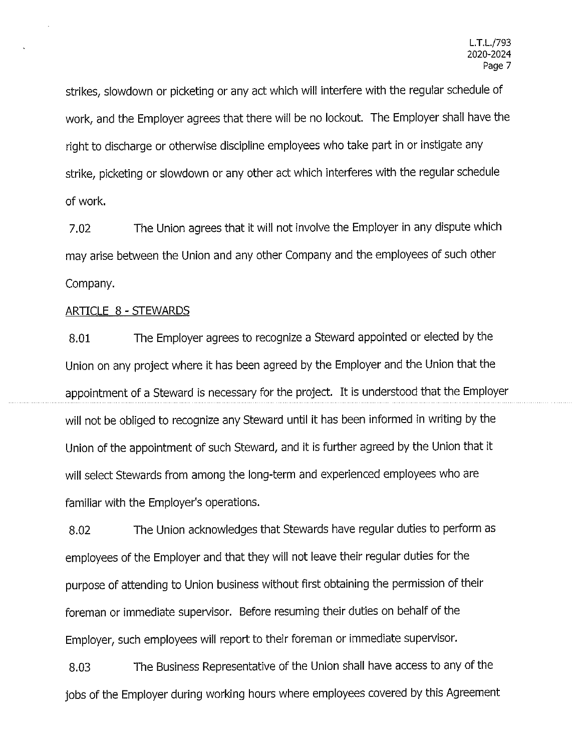strikes, slowdown or picketing or any act which will interfere with the regular schedule of work, and the Employer agrees that there will be no lockout. The Employer shall have the right to discharge or otherwise discipline employees who take part in or instigate any strike, picketing or slowdown or any other act which interferes with the regular schedule of work.

7.02 The Union agrees that it will not involve the Employer in any dispute which may arise between the Union and any other Company and the employees of such other Company.

### ARTICLE 8 - STEWARDS

8.01 The Employer agrees to recognize a Steward appointed or elected by the Union on any project where it has been agreed by the Employer and the Union that the appointment of a Steward is necessary for the project. It is understood that the Employer will not be obliged to recognize any Steward until it has been informed in writing by the Union of the appointment of such Steward, and it is further agreed by the Union that it will select Stewards from among the long-term and experienced employees who are familiar with the Employer's operations.

8.02 The Union acknowledges that Stewards have regular duties to perform as employees of the Employer and that they will not leave their regular duties for the purpose of attending to Union business without first obtaining the permission of their foreman or immediate supervisor. Before resuming their duties on behalf of the Employer, such employees will report to their foreman or immediate supervisor.

8.03 The Business Representative of the Union shall have access to any of the jobs of the Employer during working hours where employees covered by this Agreement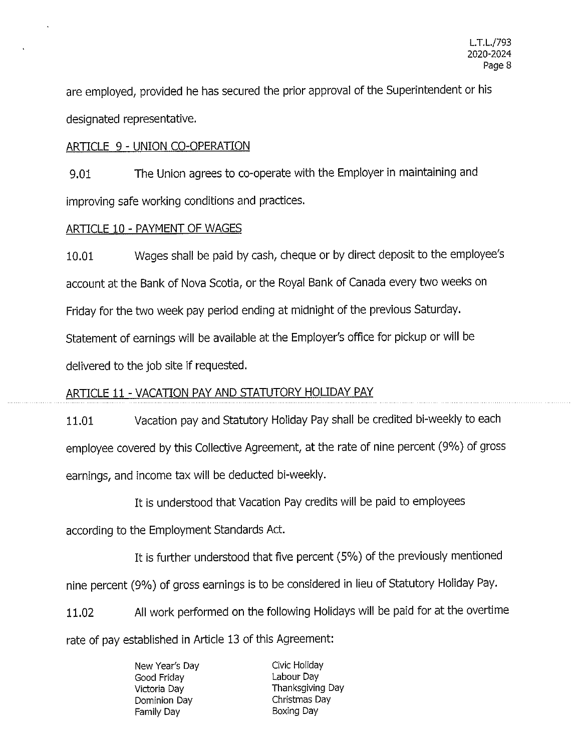are employed, provided he has secured the prior approval of the Superintendent or his designated representative.

## ARTICLE 9 - UNION CO-OPERATION

9.01 The Union agrees to co-operate with the Employer in maintaining and improving safe working conditions and practices.

## ARTICLE 10 - PAYMENT OF WAGES

10.01 Wages shall be paid by cash, cheque or by direct deposit to the employee's account at the Bank of Nova Scotia, or the Royal Bank of Canada every two weeks on Friday for the two week pay period ending at midnight of the previous Saturday. Statement of earnings will be available at the Employer's office for pickup or will be delivered to the job site if requested.

## ARTICLE 11 - VACATION PAY AND STATUTORY HOLIDAY PAY

11.01 Vacation pay and Statutory Holiday Pay shall be credited bi-weekly to each employee covered by this Collective Agreement, at the rate of nine percent (9%) of gross earnings, and income tax will be deducted bi-weekly.

It is understood that Vacation Pay credits will be paid to employees according to the Employment Standards Act.

It is further understood that five percent (5%) of the previously mentioned nine percent (9%) of gross earnings is to be considered in lieu of Statutory Holiday Pay. 11.02 All work performed on the following Holidays will be paid for at the overtime

rate of pay established in Article 13 of this Agreement:

New Year's Day Good Friday Victoria Day Dominion Day Family Day

Civic Holiday Labour Day Thanksgiving Day Christmas Day Boxing Day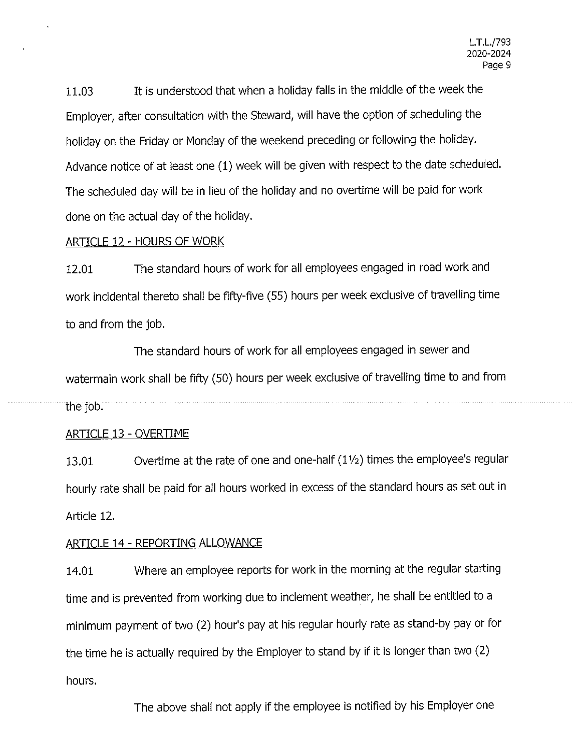11.03 It is understood that when a holiday falls in the middle of the week the Employer, after consultation with the Steward, will have the option of scheduling the holiday on the Friday or Monday of the weekend preceding or following the holiday. Advance notice of at least one (1) week will be given with respect to the date scheduled. The scheduled day will be in lieu of the holiday and no overtime will be paid for work done on the actual day of the holiday.

### ARTICLE 12 - HOURS OF WORK

12.01 The standard hours of work for all employees engaged in road work and work incidental thereto shall be fifty-five (55) hours per week exclusive of travelling time to and from the job.

The standard hours of work for all employees engaged in sewer and watermain work shall be fifty (50) hours per week exclusive of travelling time to and from the job.

### ARTICLE 13 - OVERTIME

13.01 Overtime at the rate of one and one-half (1 ½) times the employee's regular hourly rate shall be paid for all hours worked in excess of the standard hours as set out in Article 12.

### ARTICLE 14 - REPORTING ALLOWANCE

14.01 Where an employee reports for work in the morning at the regular starting time and is prevented from working due to inclement weather, he shall be entitled to a minimum payment of two (2) hour's pay at his regular hourly rate as stand-by pay or for the time he is actually required by the Employer to stand by if it is longer than two (2) hours.

The above shall not apply if the employee is notified by his Employer one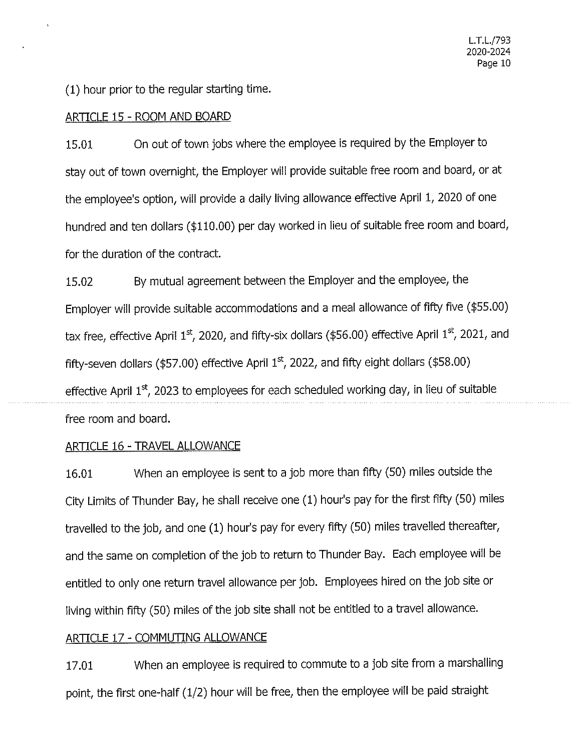(1) hour prior to the regular starting time.

#### ARTICLE 15 - ROOM AND BOARD

15.01 On out of town jobs where the employee is required by the Employer to stay out of town overnight, the Employer will provide suitable free room and board, or at the employee's option, will provide a daily living allowance effective April 1, 2020 of one hundred and ten dollars (\$110.00) per day worked in lieu of suitable free room and board, for the duration of the contract.

15.02 By mutual agreement between the Employer and the employee, the Employer will provide suitable accommodations and a meal allowance of fifty five (\$55.00) tax free, effective April 1st, 2020, and fifty-six dollars (\$56.00) effective April 1st, 2021, and fifty-seven dollars (\$57.00) effective April  $1<sup>st</sup>$ , 2022, and fifty eight dollars (\$58.00) effective April 1<sup>st</sup>, 2023 to employees for each scheduled working day, in lieu of suitable free room and board.

### ARTICLE 16 -TRAVEL ALLOWANCE

16.01 When an employee is sent to a job more than fifty (50) miles outside the City Limits of Thunder Bay, he shall receive one (1) hour's pay for the first fifty (50) miles travelled to the job, and one (1) hour's pay for every fifty (50) miles travelled thereafter, and the same on completion of the job to return to Thunder Bay. Each employee will be entitled to only one return travel allowance per job. Employees hired on the job site or living within fifty (50) miles of the job site shall not be entitled to a travel allowance.

#### ARTICLE 17 - COMMUTING ALLOWANCE

17.01 When an employee is required to commute to a job site from a marshalling point, the first one-half (1/2) hour will be free, then the employee will be paid straight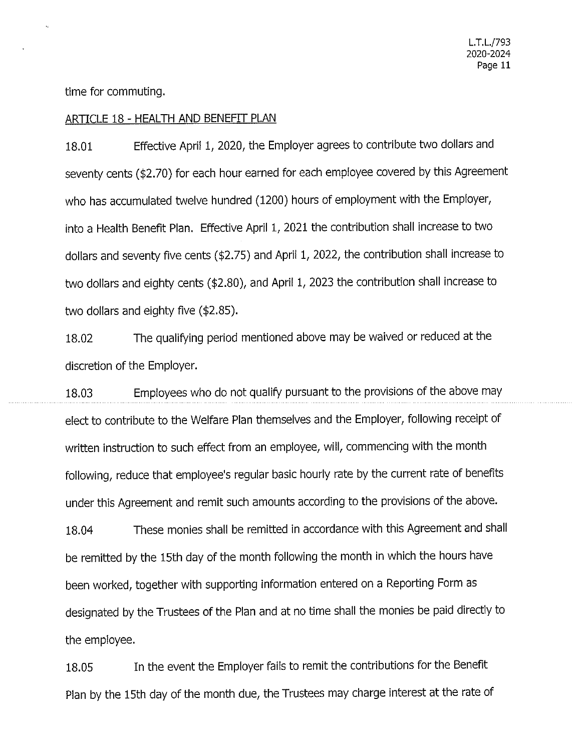time for commuting.

the employee.

#### ARTICLE 18 - HEALTH AND BENEFIT PLAN

18.01 Effective April 1, 2020, the Employer agrees to contribute two dollars and seventy cents (\$2.70) for each hour earned for each employee covered by this Agreement who has accumulated twelve hundred (1200) hours of employment with the Employer, into a Health Benefit Plan. Effective April 1, 2021 the contribution shall increase to two dollars and seventy five cents (\$2.75) and April 1, 2022, the contribution shall increase to two dollars and eighty cents (\$2.80), and April 1, 2023 the contribution shall increase to two dollars and eighty five (\$2.85).

18.02 The qualifying period mentioned above may be waived or reduced at the discretion of the Employer.

18.03 Employees who do not qualify pursuant to the provisions of the above may elect to contribute to the Welfare Plan themselves and the Employer, following receipt of written instruction to such effect from an employee, will, commencing with the month following, reduce that employee's regular basic hourly rate by the current rate of benefits under this Agreement and remit such amounts according to the provisions of the above. 18.04 These monies shall be remitted in accordance with this Agreement and shall be remitted by the 15th day of the month following the month in which the hours have been worked, together with supporting information entered on a Reporting Form as designated by the Trustees of the Plan and at no time shall the monies be paid directly to

18.05 In the event the Employer fails to remit the contributions for the Benefit Plan by the 15th day of the month due, the Trustees may charge interest at the rate of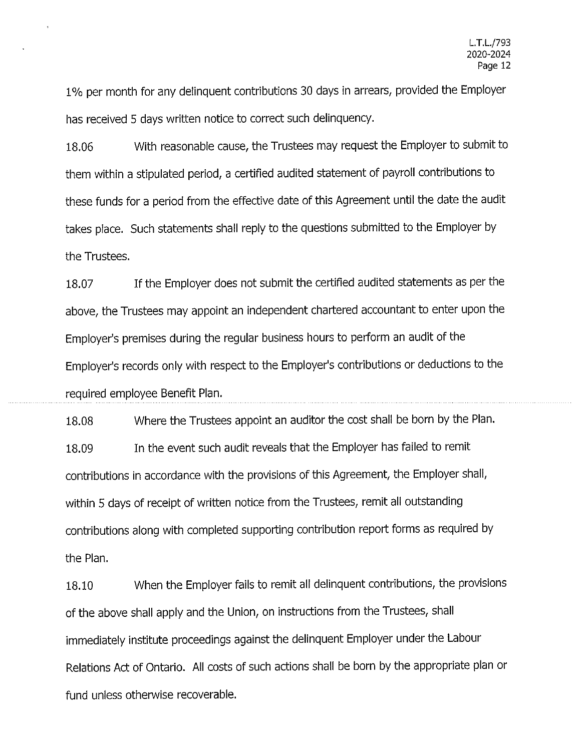1 % per month for any delinquent contributions 30 days in arrears, provided the Employer has received 5 days written notice to correct such delinquency.

18.06 With reasonable cause, the Trustees may request the Employer to submit to them within a stipulated period, a certified audited statement of payroll contributions to these funds for a period from the effective date of this Agreement until the date the audit takes place. Such statements shall reply to the questions submitted to the Employer by the Trustees.

18.07 If the Employer does not submit the certified audited statements as per the above, the Trustees may appoint an independent chartered accountant to enter upon the Employer's premises during the regular business hours to perform an audit of the Employer's records only with respect to the Employer's contributions or deductions to the required employee Benefit Plan.

18.08 Where the Trustees appoint an auditor the cost shall be born by the Plan. 18.09 In the event such audit reveals that the Employer has failed to remit contributions in accordance with the provisions of this Agreement, the Employer shall, within 5 days of receipt of written notice from the Trustees, remit all outstanding contributions along with completed supporting contribution report forms as required by the Plan.

18.10 When the Employer fails to remit all delinquent contributions, the provisions of the above shall apply and the Union, on instructions from the Trustees, shall immediately institute proceedings against the delinquent Employer under the Labour Relations Act of Ontario. All costs of such actions shall be born by the appropriate plan or fund unless otherwise recoverable.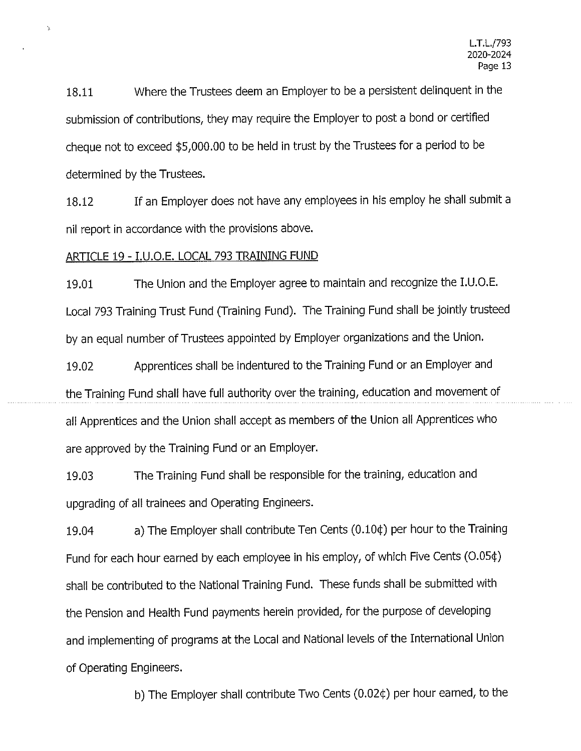18.11 Where the Trustees deem an Employer to be a persistent delinquent in the submission of contributions, they may require the Employer to post a bond or certified cheque not to exceed \$5,000.00 to be held in trust by the Trustees for a period to be determined by the Trustees.

18.12 If an Employer does not have any employees in his employ he shall submit a nil report in accordance with the provisions above.

#### ARTICLE 19 - I.U.O.E. LOCAL 793 TRAINING FUND

19.01 The Union and the Employer agree to maintain and recognize the I.U.O.E. Local 793 Training Trust Fund (Training Fund). The Training Fund shall be jointly trusteed by an equal number of Trustees appointed by Employer organizations and the Union.

19.02 Apprentices shall be indentured to the Training Fund or an Employer and the Training Fund shall have full authority over the training, education and movement of all Apprentices and the Union shall accept as members of the Union all Apprentices who are approved by the Training Fund or an Employer.

19.03 The Training Fund shall be responsible for the training, education and upgrading of all trainees and Operating Engineers.

19.04 a) The Employer shall contribute Ten Cents (0.10¢) per hour to the Training Fund for each hour earned by each employee in his employ, of which Five Cents (0.05¢) shall be contributed to the National Training Fund. These funds shall be submitted with the Pension and Health Fund payments herein provided, for the purpose of developing and implementing of programs at the Local and National levels of the International Union of Operating Engineers.

b) The Employer shall contribute Two Cents (0.02¢) per hour earned, to the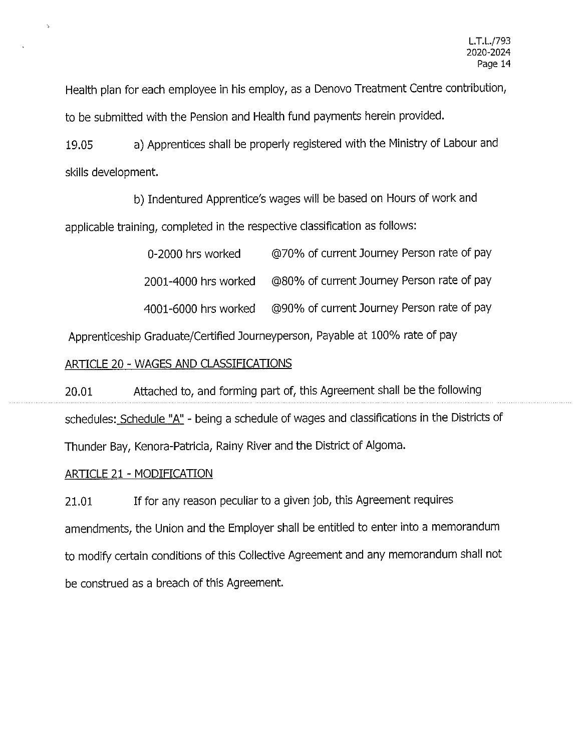Health plan for each employee in his employ, as a Denovo Treatment Centre contribution, to be submitted with the Pension and Health fund payments herein provided.

19.05 a) Apprentices shall be properly registered with the Ministry of Labour and skills development.

b) Indentured Apprentice's wages will be based on Hours of work and applicable training, completed in the respective classification as follows:

| 0-2000 hrs worked    | @70% of current Journey Person rate of pay |
|----------------------|--------------------------------------------|
| 2001-4000 hrs worked | @80% of current Journey Person rate of pay |
| 4001-6000 hrs worked | @90% of current Journey Person rate of pay |

Apprenticeship Graduate/Certified Journeyperson, Payable at 100% rate of pay

### ARTICLE 20 - WAGES AND CLASSIFICATIONS

20.01 Attached to, and forming part of, this Agreement shall be the following schedules: Schedule "A" - being a schedule of wages and classifications in the Districts of

Thunder Bay, Kenora-Patricia, Rainy River and the District of Algoma.

### ARTICLE 21 - MODIFICATION

21.01 If for any reason peculiar to a given job, this Agreement requires amendments, the Union and the Employer shall be entitled to enter into a memorandum to modify certain conditions of this Collective Agreement and any memorandum shall not be construed as a breach of this Agreement.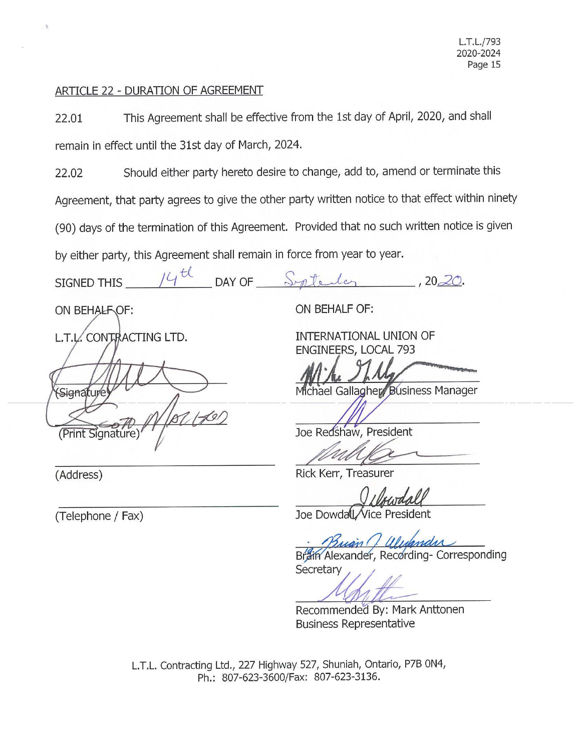### ARTICLE 22 - DURATION OF AGREEMENT

22.01 This Agreement shall be effective from the 1st day of April, 2020, and shall remain in effect until the 31st day of March, 2024.

22.02 Should either party hereto desire to change, add to, amend or terminate this Agreement, that party agrees to give the other party written notice to that effect within ninety (90) days of the termination of this Agreement. Provided that no such written notice is given by either party, this Agreement shall remain in force from year to year.

I *<sup>I</sup>*, t)\_\_ (' \_ --Fr J SIGNED THIS \_ \_\_,\_ \_\_ , -'---\_ DAY OF \_ \_\_\_.. yq; ---11---<' --L;..>....<~=------'---, 20.dQ.

ON BEHALF OF:

L.T.L. CONTRACTING LTD.

Sienature  $1/60/$ (Print Signature)

(Address)

**ON BEHALF OF:** 

**INTERNATIONAL UNION OF ENGINEERS, LOCAL** 793

Michael Gallagher Business Manager TERNATIONAL UNION OF<br>
SINEERS, LOCAL 793<br>
Chael Gallagher Business Manage<br>
Exercision, President<br>
CK Kerr, Treasurer<br>
Q I Churdall

Joe Redshaw, President

Rick Kerr, Treasurer

(Telephone / Fax) **Joe Dowdall** / Vice President

Buan Cl 11/1

Brain Alexander, Recording- Corresponding Secretary

Recommended By: Mark Anttonen Business Representative

L.T.L. Contracting Ltd., 227 Highway 527, Shuniah, Ontario, P7B ON4, Ph.: 807-623-3600/Fax: 807-623-3136.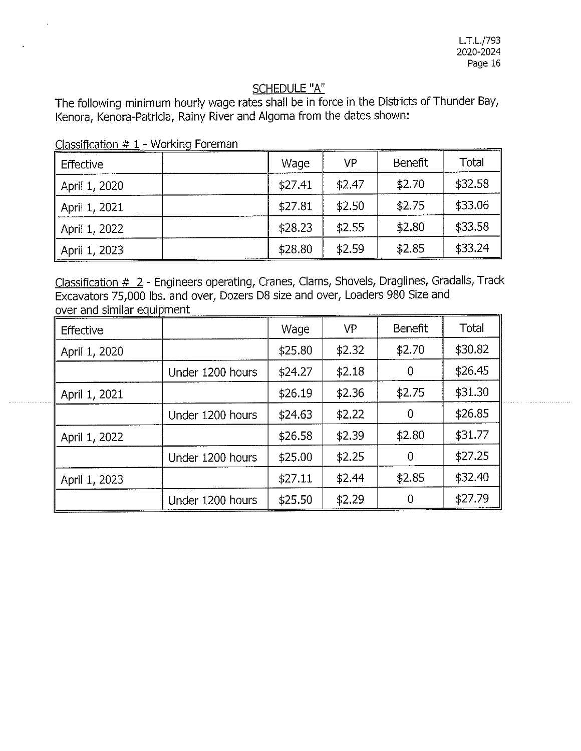## SCHEDULE "A"

The following minimum hourly wage rates shall be in force in the Districts of Thunder Bay, Kenora, Kenora-Patricia, Rainy River and Algoma from the dates shown:

| <b>Effective</b> | Wage    | <b>VP</b> | Benefit | Total   |
|------------------|---------|-----------|---------|---------|
| April 1, 2020    | \$27.41 | \$2.47    | \$2.70  | \$32.58 |
| April 1, 2021    | \$27.81 | \$2.50    | \$2.75  | \$33.06 |
| April 1, 2022    | \$28.23 | \$2.55    | \$2.80  | \$33.58 |
| April 1, 2023    | \$28.80 | \$2.59    | \$2.85  | \$33.24 |

Classification  $# 1 -$  Working Foreman

Classification # 2 - Engineers operating, Cranes, Clams, Shovels, Draglines, Gradalls, Track Excavators 75,000 lbs. and over, Dozers D8 size and over, Loaders 980 Size and over and similar equipment

| Effective     |                  | Wage    | VP     | <b>Benefit</b> | Total   |
|---------------|------------------|---------|--------|----------------|---------|
| April 1, 2020 |                  | \$25.80 | \$2.32 | \$2.70         | \$30.82 |
|               | Under 1200 hours | \$24.27 | \$2.18 | 0              | \$26.45 |
| April 1, 2021 |                  | \$26.19 | \$2.36 | \$2.75         | \$31.30 |
|               | Under 1200 hours | \$24.63 | \$2.22 | 0              | \$26.85 |
| April 1, 2022 |                  | \$26.58 | \$2.39 | \$2.80         | \$31.77 |
|               | Under 1200 hours | \$25.00 | \$2.25 | 0              | \$27.25 |
| April 1, 2023 |                  | \$27.11 | \$2.44 | \$2.85         | \$32.40 |
|               | Under 1200 hours | \$25.50 | \$2.29 | n              | \$27.79 |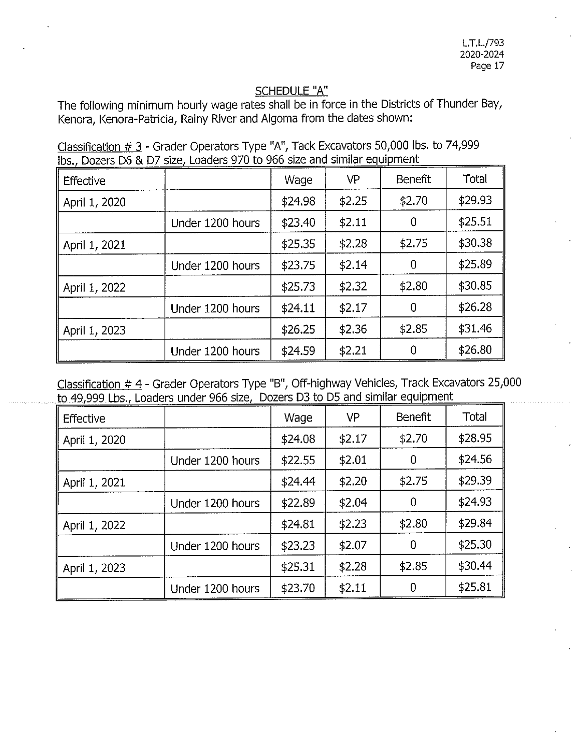# SCHEDULE "A"

The following minimum hourly wage rates shall be in force in the Districts of Thunder Bay, Kenora, Kenora-Patricia, Rainy River and Algoma from the dates shown:

| Classification $\#$ 3 - Grader Operators Type "A", Tack Excavators 50,000 lbs. to 74,999 |  |
|------------------------------------------------------------------------------------------|--|
| lbs., Dozers D6 & D7 size, Loaders 970 to 966 size and similar equipment                 |  |

| Effective     |                  | Wage    | VP     | <b>Benefit</b> | Total   |
|---------------|------------------|---------|--------|----------------|---------|
| April 1, 2020 |                  | \$24.98 | \$2.25 | \$2.70         | \$29.93 |
|               | Under 1200 hours | \$23.40 | \$2.11 | 0              | \$25.51 |
| April 1, 2021 |                  | \$25.35 | \$2.28 | \$2.75         | \$30.38 |
|               | Under 1200 hours | \$23.75 | \$2.14 | 0              | \$25.89 |
| April 1, 2022 |                  | \$25.73 | \$2.32 | \$2.80         | \$30.85 |
|               | Under 1200 hours | \$24.11 | \$2.17 | 0              | \$26.28 |
| April 1, 2023 |                  | \$26.25 | \$2.36 | \$2.85         | \$31.46 |
|               | Under 1200 hours | \$24.59 | \$2.21 | 0              | \$26.80 |

Classification # 4 - Grader Operators Type "B", Off-highway Vehicles, Track Excavators 25,000 to 49,999 Lbs., Loaders under 966 size, Dozers D3 to D5 and similar equipment

| Effective     |                  | Wage    | <b>VP</b> | Benefit        | <b>Total</b> |
|---------------|------------------|---------|-----------|----------------|--------------|
| April 1, 2020 |                  | \$24.08 | \$2.17    | \$2.70         | \$28.95      |
|               | Under 1200 hours | \$22.55 | \$2.01    | $\bf{0}$       | \$24.56      |
| April 1, 2021 |                  | \$24.44 | \$2.20    | \$2.75         | \$29.39      |
|               | Under 1200 hours | \$22.89 | \$2.04    | $\overline{0}$ | \$24.93      |
| April 1, 2022 |                  | \$24.81 | \$2.23    | \$2.80         | \$29.84      |
|               | Under 1200 hours | \$23.23 | \$2.07    | 0              | \$25.30      |
| April 1, 2023 |                  | \$25.31 | \$2.28    | \$2.85         | \$30.44      |
|               | Under 1200 hours | \$23.70 | \$2.11    | 0              | \$25.81      |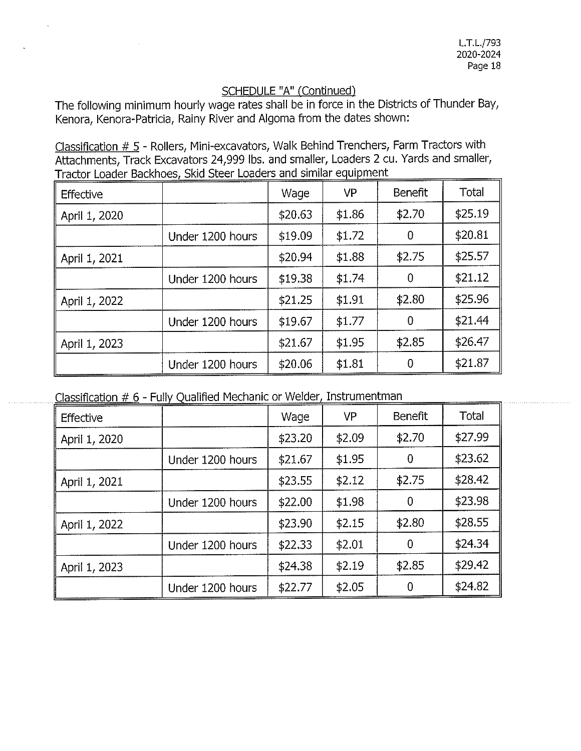The following minimum hourly wage rates shall be in force in the Districts of Thunder Bay, Kenora, Kenora-Patricia, Rainy River and Algoma from the dates shown:

Classification  $# 5$  - Rollers, Mini-excavators, Walk Behind Trenchers, Farm Tractors with Attachments, Track Excavators 24,999 lbs. and smaller, Loaders 2 cu. Yards and smaller, Tractor Loader Backhoes, Skid Steer Loaders and similar equipment

| Effective     |                  | Wage    | VP     | Benefit        | Total   |
|---------------|------------------|---------|--------|----------------|---------|
| April 1, 2020 |                  | \$20.63 | \$1.86 | \$2.70         | \$25.19 |
|               | Under 1200 hours | \$19.09 | \$1.72 | 0              | \$20.81 |
| April 1, 2021 |                  | \$20.94 | \$1.88 | \$2.75         | \$25.57 |
|               | Under 1200 hours | \$19.38 | \$1.74 | $\overline{0}$ | \$21.12 |
| April 1, 2022 |                  | \$21.25 | \$1.91 | \$2.80         | \$25.96 |
|               | Under 1200 hours | \$19.67 | \$1.77 | 0              | \$21.44 |
| April 1, 2023 |                  | \$21.67 | \$1.95 | \$2.85         | \$26.47 |
|               | Under 1200 hours | \$20.06 | \$1.81 | 0              | \$21.87 |

| Classification # 6 - Fully Qualified Mechanic or Welder, Instrumentman |
|------------------------------------------------------------------------|
|------------------------------------------------------------------------|

| Effective     |                  | Wage    | VP     | Benefit | Total   |
|---------------|------------------|---------|--------|---------|---------|
| April 1, 2020 |                  | \$23.20 | \$2.09 | \$2.70  | \$27.99 |
|               | Under 1200 hours | \$21.67 | \$1.95 | 0       | \$23.62 |
| April 1, 2021 |                  | \$23.55 | \$2.12 | \$2.75  | \$28.42 |
|               | Under 1200 hours | \$22.00 | \$1.98 | 0       | \$23.98 |
| April 1, 2022 |                  | \$23.90 | \$2.15 | \$2.80  | \$28.55 |
|               | Under 1200 hours | \$22.33 | \$2.01 | 0       | \$24.34 |
| April 1, 2023 |                  | \$24.38 | \$2.19 | \$2.85  | \$29.42 |
|               | Under 1200 hours | \$22.77 | \$2.05 | 0       | \$24.82 |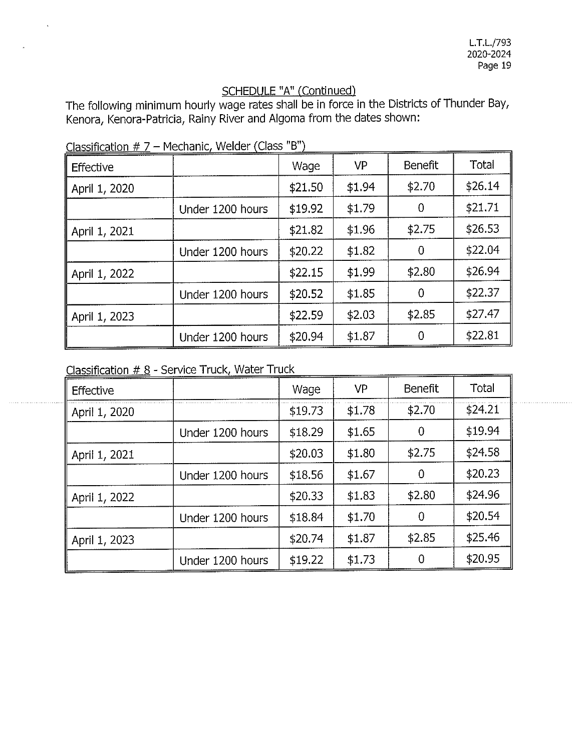The following minimum hourly wage rates shall be in force in the Districts of Thunder Bay, Kenora, Kenora-Patricia, Rainy River and Algoma from the dates shown:

| Effective     |                  | Wage    | VP     | Benefit | Total   |
|---------------|------------------|---------|--------|---------|---------|
| April 1, 2020 |                  | \$21.50 | \$1.94 | \$2.70  | \$26.14 |
|               | Under 1200 hours | \$19.92 | \$1.79 | 0       | \$21.71 |
| April 1, 2021 |                  | \$21.82 | \$1.96 | \$2.75  | \$26.53 |
|               | Under 1200 hours | \$20.22 | \$1.82 | 0       | \$22.04 |
| April 1, 2022 |                  | \$22.15 | \$1.99 | \$2.80  | \$26.94 |
|               | Under 1200 hours | \$20.52 | \$1.85 | 0       | \$22.37 |
| April 1, 2023 |                  | \$22.59 | \$2.03 | \$2.85  | \$27.47 |
|               | Under 1200 hours | \$20.94 | \$1.87 | 0       | \$22.81 |

Classification  $# 7$  – Mechanic, Welder (Class "B")

Classification # 8 - Service Truck Water Truck *<sup>I</sup>*

| Effective     |                  | Wage    | VP     | <b>Benefit</b> | Total   |
|---------------|------------------|---------|--------|----------------|---------|
| April 1, 2020 |                  | \$19.73 | \$1.78 | \$2.70         | \$24.21 |
|               | Under 1200 hours | \$18.29 | \$1.65 | $\theta$       | \$19.94 |
| April 1, 2021 |                  | \$20.03 | \$1.80 | \$2.75         | \$24.58 |
|               | Under 1200 hours | \$18.56 | \$1.67 | 0              | \$20.23 |
| April 1, 2022 |                  | \$20.33 | \$1.83 | \$2.80         | \$24.96 |
|               | Under 1200 hours | \$18.84 | \$1.70 | 0              | \$20.54 |
| April 1, 2023 |                  | \$20.74 | \$1.87 | \$2.85         | \$25.46 |
|               | Under 1200 hours | \$19.22 | \$1.73 | 0              | \$20.95 |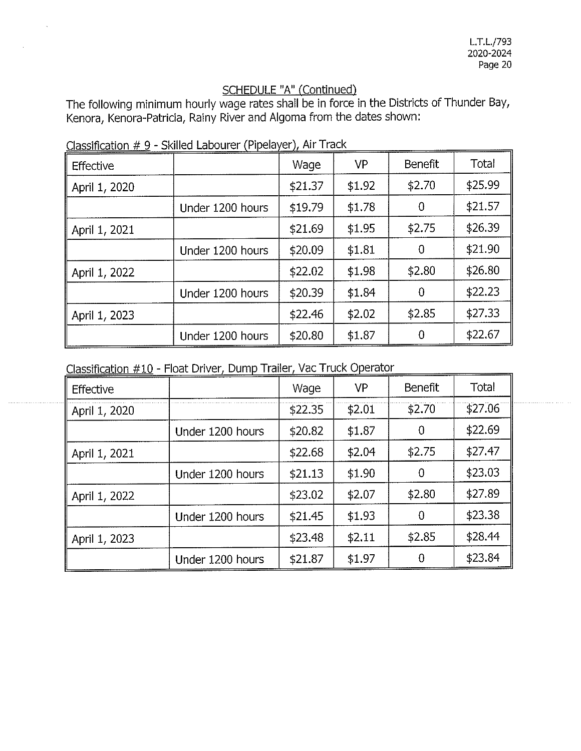The following minimum hourly wage rates shall be in force in the Districts of Thunder Bay, Kenora, Kenora-Patricia, Rainy River and Algoma from the dates shown:

| Effective     |                  | Wage    | <b>VP</b> | Benefit | Total   |
|---------------|------------------|---------|-----------|---------|---------|
| April 1, 2020 |                  | \$21.37 | \$1.92    | \$2.70  | \$25.99 |
|               | Under 1200 hours | \$19.79 | \$1.78    | 0       | \$21.57 |
| April 1, 2021 |                  | \$21.69 | \$1.95    | \$2.75  | \$26.39 |
|               | Under 1200 hours | \$20.09 | \$1.81    | 0       | \$21.90 |
| April 1, 2022 |                  | \$22.02 | \$1.98    | \$2.80  | \$26.80 |
|               | Under 1200 hours | \$20.39 | \$1.84    | 0       | \$22.23 |
| April 1, 2023 |                  | \$22.46 | \$2.02    | \$2.85  | \$27.33 |
|               | Under 1200 hours | \$20.80 | \$1.87    | 0       | \$22.67 |

Classification  $# 9$  - Skilled Labourer (Pipelayer), Air Track

Classification #10 - Float Driver, Dump Trailer, Vac Truck Operator

| Effective     |                  | Wage    | VP     | Benefit | Total   |
|---------------|------------------|---------|--------|---------|---------|
| April 1, 2020 |                  | \$22.35 | \$2.01 | \$2.70  | \$27.06 |
|               | Under 1200 hours | \$20.82 | \$1.87 | 0       | \$22.69 |
| April 1, 2021 |                  | \$22.68 | \$2.04 | \$2.75  | \$27.47 |
|               | Under 1200 hours | \$21.13 | \$1.90 | 0       | \$23.03 |
| April 1, 2022 |                  | \$23.02 | \$2.07 | \$2.80  | \$27.89 |
|               | Under 1200 hours | \$21.45 | \$1.93 | 0       | \$23.38 |
| April 1, 2023 |                  | \$23.48 | \$2.11 | \$2.85  | \$28.44 |
|               | Under 1200 hours | \$21.87 | \$1.97 | 0       | \$23.84 |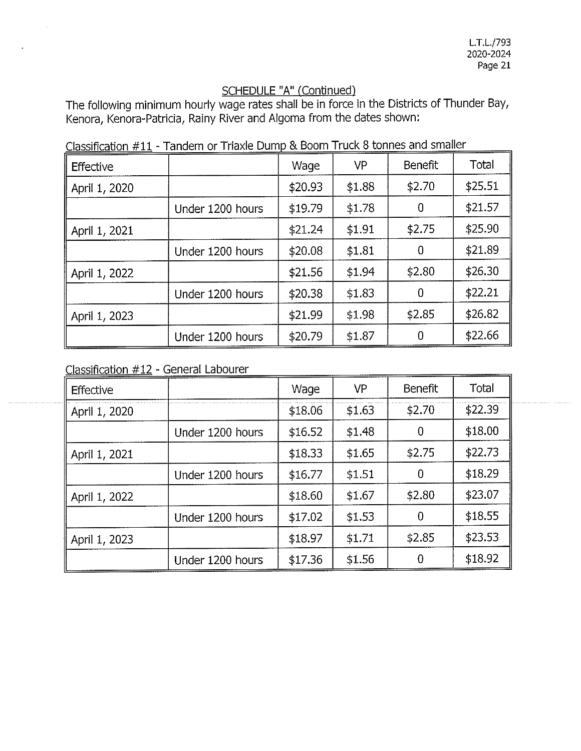The following minimum hourly wage rates shall be in force in the Districts of Thunder Bay, Kenora, Kenora-Patricia, Rainy River and Algoma from the dates shown:

| Effective     |                  | Wage    | <b>VP</b> | Benefit | <b>Total</b> |
|---------------|------------------|---------|-----------|---------|--------------|
| April 1, 2020 |                  | \$20.93 | \$1.88    | \$2.70  | \$25.51      |
|               | Under 1200 hours | \$19.79 | \$1.78    | 0       | \$21.57      |
| April 1, 2021 |                  | \$21.24 | \$1.91    | \$2.75  | \$25.90      |
|               | Under 1200 hours | \$20.08 | \$1.81    | 0       | \$21.89      |
| April 1, 2022 |                  | \$21.56 | \$1.94    | \$2.80  | \$26.30      |
|               | Under 1200 hours | \$20.38 | \$1.83    | 0       | \$22.21      |
| April 1, 2023 |                  | \$21.99 | \$1.98    | \$2.85  | \$26.82      |
|               | Under 1200 hours | \$20.79 | \$1.87    | 0       | \$22.66      |

Classification  $#11$  - Tandem or Triaxle Dump & Boom Truck 8 tonnes and smaller

Classification #12 - General Labourer

| <b>Effective</b> |                  | Wage    | <b>VP</b> | Benefit | Total   |
|------------------|------------------|---------|-----------|---------|---------|
| April 1, 2020    |                  | \$18.06 | \$1.63    | \$2.70  | \$22.39 |
|                  | Under 1200 hours | \$16.52 | \$1.48    | 0       | \$18.00 |
| April 1, 2021    |                  | \$18.33 | \$1.65    | \$2.75  | \$22.73 |
|                  | Under 1200 hours | \$16.77 | \$1.51    | 0       | \$18.29 |
| April 1, 2022    |                  | \$18.60 | \$1.67    | \$2.80  | \$23.07 |
|                  | Under 1200 hours | \$17.02 | \$1.53    | 0       | \$18.55 |
| April 1, 2023    |                  | \$18.97 | \$1.71    | \$2.85  | \$23.53 |
|                  | Under 1200 hours | \$17.36 | \$1.56    |         | \$18.92 |